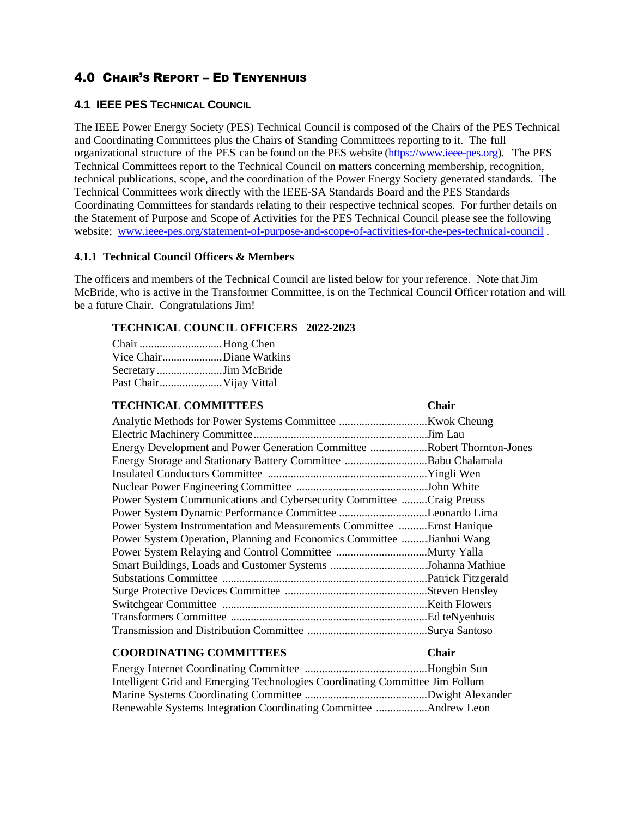# 4.0 CHAIR'S REPORT – ED TENYENHUIS

# **4.1 IEEE PES TECHNICAL COUNCIL**

The IEEE Power Energy Society (PES) Technical Council is composed of the Chairs of the PES Technical and Coordinating Committees plus the Chairs of Standing Committees reporting to it. The full organizational structure of the PES can be found on the PES website [\(https://www.ieee-pes.org\)](https://www.ieee-pes.org/). The PES Technical Committees report to the Technical Council on matters concerning membership, recognition, technical publications, scope, and the coordination of the Power Energy Society generated standards. The Technical Committees work directly with the IEEE-SA Standards Board and the PES Standards Coordinating Committees for standards relating to their respective technical scopes. For further details on the Statement of Purpose and Scope of Activities for the PES Technical Council please see the following website; [www.ieee-pes.org/statement-of-purpose-and-scope-of-activities-for-the-pes-technical-council](http://www.ieee-pes.org/statement-of-purpose-and-scope-of-activities-for-the-pes-technical-council) .

#### **4.1.1 Technical Council Officers & Members**

The officers and members of the Technical Council are listed below for your reference. Note that Jim McBride, who is active in the Transformer Committee, is on the Technical Council Officer rotation and will be a future Chair. Congratulations Jim!

# **TECHNICAL COUNCIL OFFICERS 2022-2023**

| Chair Hong Chen         |                         |
|-------------------------|-------------------------|
|                         | Vice ChairDiane Watkins |
|                         | Secretary Jim McBride   |
| Past Chair Vijay Vittal |                         |

| <b>TECHNICAL COMMITTEES</b>                                             | <b>Chair</b> |
|-------------------------------------------------------------------------|--------------|
|                                                                         |              |
|                                                                         |              |
| Energy Development and Power Generation Committee Robert Thornton-Jones |              |
|                                                                         |              |
|                                                                         |              |
|                                                                         |              |
| Power System Communications and Cybersecurity Committee Craig Preuss    |              |
| Power System Dynamic Performance Committee Leonardo Lima                |              |
| Power System Instrumentation and Measurements Committee Ernst Hanique   |              |
| Power System Operation, Planning and Economics Committee Jianhui Wang   |              |
|                                                                         |              |
|                                                                         |              |
|                                                                         |              |
|                                                                         |              |
|                                                                         |              |
|                                                                         |              |
|                                                                         |              |

# **COORDINATING COMMITTEES Chair**

Energy Internet Coordinating Committee ...........................................Hongbin Sun Intelligent Grid and Emerging Technologies Coordinating Committee Jim Follum Marine Systems Coordinating Committee ...........................................Dwight Alexander Renewable Systems Integration Coordinating Committee ..................Andrew Leon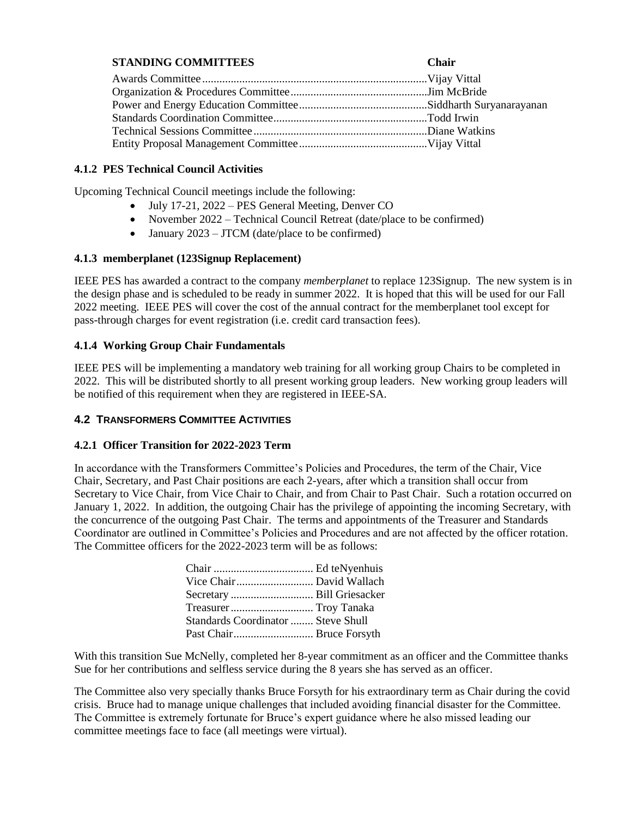# **STANDING COMMITTEES Chair**

# **4.1.2 PES Technical Council Activities**

Upcoming Technical Council meetings include the following:

- July 17-21, 2022 PES General Meeting, Denver CO
- November 2022 Technical Council Retreat (date/place to be confirmed)
- January  $2023 JTCM$  (date/place to be confirmed)

# **4.1.3 memberplanet (123Signup Replacement)**

IEEE PES has awarded a contract to the company *memberplanet* to replace 123Signup. The new system is in the design phase and is scheduled to be ready in summer 2022. It is hoped that this will be used for our Fall 2022 meeting. IEEE PES will cover the cost of the annual contract for the memberplanet tool except for pass-through charges for event registration (i.e. credit card transaction fees).

# **4.1.4 Working Group Chair Fundamentals**

IEEE PES will be implementing a mandatory web training for all working group Chairs to be completed in 2022. This will be distributed shortly to all present working group leaders. New working group leaders will be notified of this requirement when they are registered in IEEE-SA.

# **4.2 TRANSFORMERS COMMITTEE ACTIVITIES**

#### **4.2.1 Officer Transition for 2022-2023 Term**

In accordance with the Transformers Committee's Policies and Procedures, the term of the Chair, Vice Chair, Secretary, and Past Chair positions are each 2-years, after which a transition shall occur from Secretary to Vice Chair, from Vice Chair to Chair, and from Chair to Past Chair. Such a rotation occurred on January 1, 2022. In addition, the outgoing Chair has the privilege of appointing the incoming Secretary, with the concurrence of the outgoing Past Chair. The terms and appointments of the Treasurer and Standards Coordinator are outlined in Committee's Policies and Procedures and are not affected by the officer rotation. The Committee officers for the 2022-2023 term will be as follows:

| Standards Coordinator  Steve Shull |
|------------------------------------|
|                                    |
|                                    |

With this transition Sue McNelly, completed her 8-year commitment as an officer and the Committee thanks Sue for her contributions and selfless service during the 8 years she has served as an officer.

The Committee also very specially thanks Bruce Forsyth for his extraordinary term as Chair during the covid crisis. Bruce had to manage unique challenges that included avoiding financial disaster for the Committee. The Committee is extremely fortunate for Bruce's expert guidance where he also missed leading our committee meetings face to face (all meetings were virtual).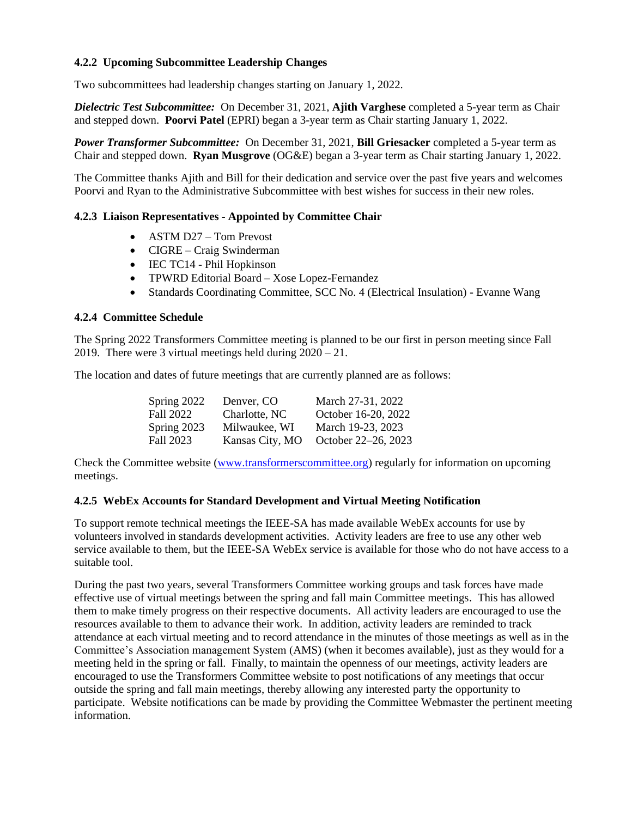# **4.2.2 Upcoming Subcommittee Leadership Changes**

Two subcommittees had leadership changes starting on January 1, 2022.

*Dielectric Test Subcommittee:* On December 31, 2021, **Ajith Varghese** completed a 5-year term as Chair and stepped down. **Poorvi Patel** (EPRI) began a 3-year term as Chair starting January 1, 2022.

*Power Transformer Subcommittee:* On December 31, 2021, **Bill Griesacker** completed a 5-year term as Chair and stepped down. **Ryan Musgrove** (OG&E) began a 3-year term as Chair starting January 1, 2022.

The Committee thanks Ajith and Bill for their dedication and service over the past five years and welcomes Poorvi and Ryan to the Administrative Subcommittee with best wishes for success in their new roles.

#### **4.2.3 Liaison Representatives - Appointed by Committee Chair**

- ASTM D27 Tom Prevost
- CIGRE Craig Swinderman
- IEC TC14 Phil Hopkinson
- TPWRD Editorial Board Xose Lopez-Fernandez
- Standards Coordinating Committee, SCC No. 4 (Electrical Insulation) Evanne Wang

#### **4.2.4 Committee Schedule**

The Spring 2022 Transformers Committee meeting is planned to be our first in person meeting since Fall 2019. There were 3 virtual meetings held during 2020 – 21.

The location and dates of future meetings that are currently planned are as follows:

| Spring 2022 | Denver, CO      | March 27-31, 2022   |
|-------------|-----------------|---------------------|
| Fall 2022   | Charlotte, NC   | October 16-20, 2022 |
| Spring 2023 | Milwaukee, WI   | March 19-23, 2023   |
| Fall 2023   | Kansas City, MO | October 22–26, 2023 |

Check the Committee website [\(www.transformerscommittee.org\)](http://www.transformerscommittee.org/) regularly for information on upcoming meetings.

#### **4.2.5 WebEx Accounts for Standard Development and Virtual Meeting Notification**

To support remote technical meetings the IEEE-SA has made available WebEx accounts for use by volunteers involved in standards development activities. Activity leaders are free to use any other web service available to them, but the IEEE-SA WebEx service is available for those who do not have access to a suitable tool.

During the past two years, several Transformers Committee working groups and task forces have made effective use of virtual meetings between the spring and fall main Committee meetings. This has allowed them to make timely progress on their respective documents. All activity leaders are encouraged to use the resources available to them to advance their work. In addition, activity leaders are reminded to track attendance at each virtual meeting and to record attendance in the minutes of those meetings as well as in the Committee's Association management System (AMS) (when it becomes available), just as they would for a meeting held in the spring or fall. Finally, to maintain the openness of our meetings, activity leaders are encouraged to use the Transformers Committee website to post notifications of any meetings that occur outside the spring and fall main meetings, thereby allowing any interested party the opportunity to participate. Website notifications can be made by providing the Committee Webmaster the pertinent meeting information.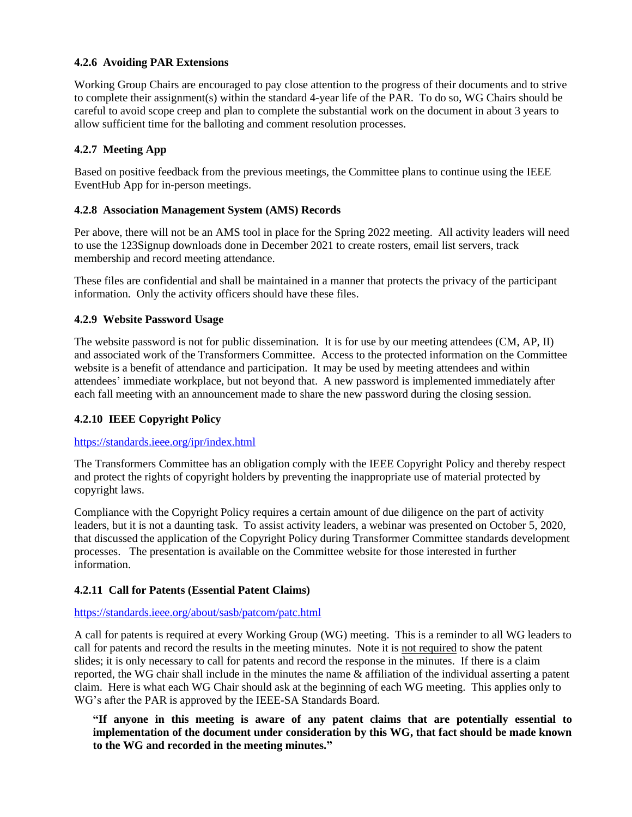# **4.2.6 Avoiding PAR Extensions**

Working Group Chairs are encouraged to pay close attention to the progress of their documents and to strive to complete their assignment(s) within the standard 4-year life of the PAR. To do so, WG Chairs should be careful to avoid scope creep and plan to complete the substantial work on the document in about 3 years to allow sufficient time for the balloting and comment resolution processes.

# **4.2.7 Meeting App**

Based on positive feedback from the previous meetings, the Committee plans to continue using the IEEE EventHub App for in-person meetings.

# **4.2.8 Association Management System (AMS) Records**

Per above, there will not be an AMS tool in place for the Spring 2022 meeting. All activity leaders will need to use the 123Signup downloads done in December 2021 to create rosters, email list servers, track membership and record meeting attendance.

These files are confidential and shall be maintained in a manner that protects the privacy of the participant information. Only the activity officers should have these files.

# **4.2.9 Website Password Usage**

The website password is not for public dissemination. It is for use by our meeting attendees (CM, AP, II) and associated work of the Transformers Committee. Access to the protected information on the Committee website is a benefit of attendance and participation. It may be used by meeting attendees and within attendees' immediate workplace, but not beyond that. A new password is implemented immediately after each fall meeting with an announcement made to share the new password during the closing session.

# **4.2.10 IEEE Copyright Policy**

#### <https://standards.ieee.org/ipr/index.html>

The Transformers Committee has an obligation comply with the IEEE Copyright Policy and thereby respect and protect the rights of copyright holders by preventing the inappropriate use of material protected by copyright laws.

Compliance with the Copyright Policy requires a certain amount of due diligence on the part of activity leaders, but it is not a daunting task. To assist activity leaders, a webinar was presented on October 5, 2020, that discussed the application of the Copyright Policy during Transformer Committee standards development processes. The presentation is available on the Committee website for those interested in further information.

#### **4.2.11 Call for Patents (Essential Patent Claims)**

#### <https://standards.ieee.org/about/sasb/patcom/patc.html>

A call for patents is required at every Working Group (WG) meeting. This is a reminder to all WG leaders to call for patents and record the results in the meeting minutes. Note it is not required to show the patent slides; it is only necessary to call for patents and record the response in the minutes. If there is a claim reported, the WG chair shall include in the minutes the name & affiliation of the individual asserting a patent claim. Here is what each WG Chair should ask at the beginning of each WG meeting. This applies only to WG's after the PAR is approved by the IEEE-SA Standards Board.

**"If anyone in this meeting is aware of any patent claims that are potentially essential to implementation of the document under consideration by this WG, that fact should be made known to the WG and recorded in the meeting minutes."**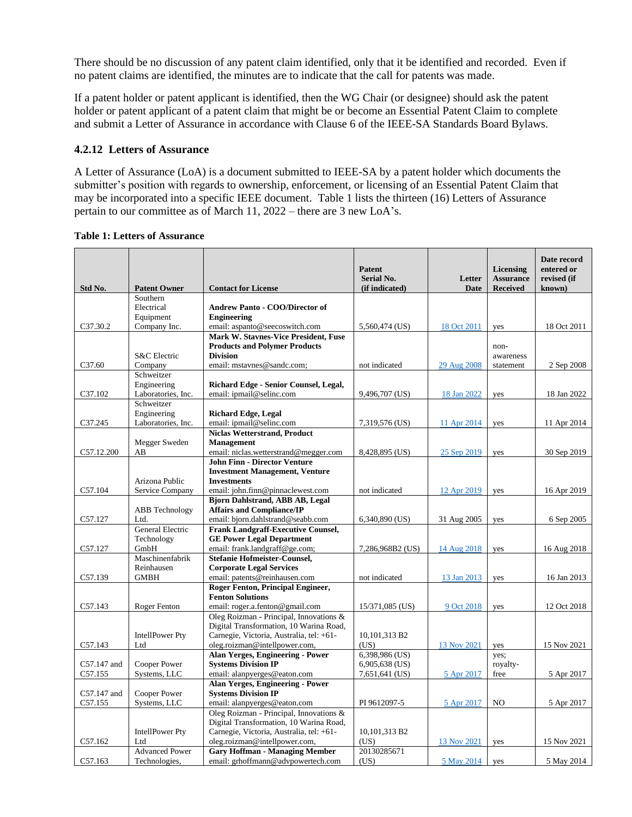There should be no discussion of any patent claim identified, only that it be identified and recorded. Even if no patent claims are identified, the minutes are to indicate that the call for patents was made.

If a patent holder or patent applicant is identified, then the WG Chair (or designee) should ask the patent holder or patent applicant of a patent claim that might be or become an Essential Patent Claim to complete and submit a Letter of Assurance in accordance with Clause 6 of the IEEE-SA Standards Board Bylaws.

#### **4.2.12 Letters of Assurance**

A Letter of Assurance (LoA) is a document submitted to IEEE-SA by a patent holder which documents the submitter's position with regards to ownership, enforcement, or licensing of an Essential Patent Claim that may be incorporated into a specific IEEE document. Table 1 lists the thirteen (16) Letters of Assurance pertain to our committee as of March 11, 2022 – there are 3 new LoA's.

| Std No.     | <b>Patent Owner</b>               | <b>Contact for License</b>                                                 | Patent<br><b>Serial No.</b><br>(if indicated) | Letter<br><b>Date</b> | <b>Licensing</b><br><b>Assurance</b><br><b>Received</b> | Date record<br>entered or<br>revised (if<br>known) |
|-------------|-----------------------------------|----------------------------------------------------------------------------|-----------------------------------------------|-----------------------|---------------------------------------------------------|----------------------------------------------------|
|             | Southern                          |                                                                            |                                               |                       |                                                         |                                                    |
|             | Electrical                        | Andrew Panto - COO/Director of                                             |                                               |                       |                                                         |                                                    |
|             | Equipment                         | <b>Engineering</b>                                                         |                                               |                       |                                                         |                                                    |
| C37.30.2    | Company Inc.                      | email: aspanto@seecoswitch.com                                             | 5,560,474 (US)                                | 18 Oct 2011           | yes                                                     | 18 Oct 2011                                        |
|             |                                   | <b>Mark W. Stavnes-Vice President, Fuse</b>                                |                                               |                       |                                                         |                                                    |
|             |                                   | <b>Products and Polymer Products</b>                                       |                                               |                       | non-                                                    |                                                    |
|             | S&C Electric                      | <b>Division</b>                                                            |                                               |                       | awareness                                               |                                                    |
| C37.60      | Company                           | email: mstavnes@sandc.com;                                                 | not indicated                                 | 29 Aug 2008           | statement                                               | 2 Sep 2008                                         |
|             | Schweitzer                        |                                                                            |                                               |                       |                                                         |                                                    |
|             | Engineering                       | Richard Edge - Senior Counsel, Legal,                                      |                                               |                       |                                                         |                                                    |
| C37.102     | Laboratories, Inc.                | email: ipmail@selinc.com                                                   | 9,496,707 (US)                                | 18 Jan 2022           | yes                                                     | 18 Jan 2022                                        |
|             | Schweitzer                        |                                                                            |                                               |                       |                                                         |                                                    |
|             | Engineering<br>Laboratories, Inc. | <b>Richard Edge, Legal</b><br>email: ipmail@selinc.com                     |                                               |                       |                                                         |                                                    |
| C37.245     |                                   | <b>Niclas Wetterstrand, Product</b>                                        | 7,319,576 (US)                                | 11 Apr 2014           | yes                                                     | 11 Apr 2014                                        |
|             | Megger Sweden                     | <b>Management</b>                                                          |                                               |                       |                                                         |                                                    |
| C57.12.200  | AB                                | email: niclas.wetterstrand@megger.com                                      | 8,428,895 (US)                                | 25 Sep 2019           | yes                                                     | 30 Sep 2019                                        |
|             |                                   | <b>John Finn - Director Venture</b>                                        |                                               |                       |                                                         |                                                    |
|             |                                   | <b>Investment Management, Venture</b>                                      |                                               |                       |                                                         |                                                    |
|             | Arizona Public                    | <b>Investments</b>                                                         |                                               |                       |                                                         |                                                    |
| C57.104     | Service Company                   | email: john.finn@pinnaclewest.com                                          | not indicated                                 | 12 Apr 2019           | yes                                                     | 16 Apr 2019                                        |
|             |                                   | <b>Bjorn Dahlstrand, ABB AB, Legal</b>                                     |                                               |                       |                                                         |                                                    |
|             | <b>ABB</b> Technology             | <b>Affairs and Compliance/IP</b>                                           |                                               |                       |                                                         |                                                    |
| C57.127     | Ltd.                              | email: bjorn.dahlstrand@seabb.com                                          | 6,340,890 (US)                                | 31 Aug 2005           | yes                                                     | 6 Sep 2005                                         |
|             | General Electric                  | <b>Frank Landgraff-Executive Counsel,</b>                                  |                                               |                       |                                                         |                                                    |
|             | Technology                        | <b>GE Power Legal Department</b>                                           |                                               |                       |                                                         |                                                    |
| C57.127     | GmbH                              | email: frank.landgraff@ge.com;                                             | 7,286,968B2 (US)                              | 14 Aug 2018           | yes                                                     | 16 Aug 2018                                        |
|             | Maschinenfabrik                   | <b>Stefanie Hofmeister-Counsel,</b>                                        |                                               |                       |                                                         |                                                    |
|             | Reinhausen                        | <b>Corporate Legal Services</b>                                            |                                               |                       |                                                         |                                                    |
| C57.139     | <b>GMBH</b>                       | email: patents@reinhausen.com                                              | not indicated                                 | 13 Jan 2013           | yes                                                     | 16 Jan 2013                                        |
|             |                                   | <b>Roger Fenton, Principal Engineer,</b>                                   |                                               |                       |                                                         |                                                    |
|             |                                   | <b>Fenton Solutions</b>                                                    |                                               |                       |                                                         |                                                    |
| C57.143     | Roger Fenton                      | email: roger.a.fenton@gmail.com<br>Oleg Roizman - Principal, Innovations & | 15/371,085 (US)                               | 9 Oct 2018            | yes                                                     | 12 Oct 2018                                        |
|             |                                   | Digital Transformation, 10 Warina Road,                                    |                                               |                       |                                                         |                                                    |
|             | <b>IntellPower Pty</b>            | Carnegie, Victoria, Australia, tel: +61-                                   | 10,101,313 B2                                 |                       |                                                         |                                                    |
| C57.143     | Ltd                               | oleg.roizman@intellpower.com,                                              | (US)                                          | 13 Nov 2021           | yes                                                     | 15 Nov 2021                                        |
|             |                                   | <b>Alan Yerges, Engineering - Power</b>                                    | 6,398,986 (US)                                |                       | yes;                                                    |                                                    |
| C57.147 and | Cooper Power                      | <b>Systems Division IP</b>                                                 | 6,905,638 (US)                                |                       | royalty-                                                |                                                    |
| C57.155     | Systems, LLC                      | email: alanpyerges@eaton.com                                               | 7,651,641 (US)                                | 5 Apr 2017            | free                                                    | 5 Apr 2017                                         |
|             |                                   | <b>Alan Yerges, Engineering - Power</b>                                    |                                               |                       |                                                         |                                                    |
| C57.147 and | Cooper Power                      | <b>Systems Division IP</b>                                                 |                                               |                       |                                                         |                                                    |
| C57.155     | Systems, LLC                      | email: alanpyerges@eaton.com                                               | PI 9612097-5                                  | 5 Apr 2017            | NO                                                      | 5 Apr 2017                                         |
|             |                                   | Oleg Roizman - Principal, Innovations &                                    |                                               |                       |                                                         |                                                    |
|             |                                   | Digital Transformation, 10 Warina Road,                                    |                                               |                       |                                                         |                                                    |
|             | <b>IntellPower Pty</b>            | Carnegie, Victoria, Australia, tel: +61-                                   | 10,101,313 B2                                 |                       |                                                         |                                                    |
| C57.162     | Ltd                               | oleg.roizman@intellpower.com,                                              | (US)                                          | 13 Nov 2021           | yes                                                     | 15 Nov 2021                                        |
|             | <b>Advanced Power</b>             | <b>Gary Hoffman - Managing Member</b>                                      | 20130285671                                   |                       |                                                         |                                                    |
| C57.163     | Technologies,                     | email: grhoffmann@advpowertech.com                                         | (US)                                          | 5 May 2014            | yes                                                     | 5 May 2014                                         |

#### **Table 1: Letters of Assurance**